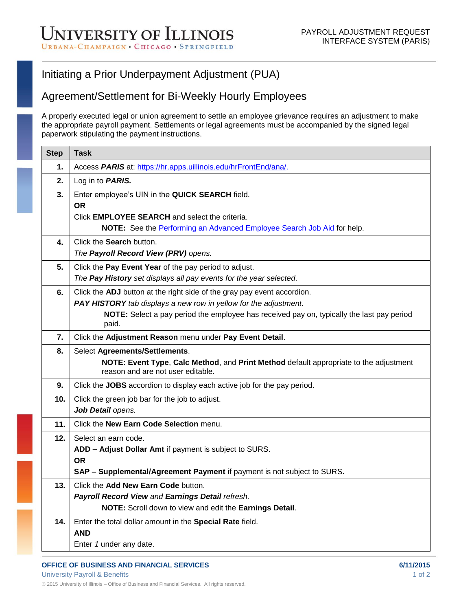## Initiating a Prior Underpayment Adjustment (PUA)

## Agreement/Settlement for Bi-Weekly Hourly Employees

A properly executed legal or union agreement to settle an employee grievance requires an adjustment to make the appropriate payroll payment. Settlements or legal agreements must be accompanied by the signed legal paperwork stipulating the payment instructions.

| <b>Step</b> | <b>Task</b>                                                                                                                |
|-------------|----------------------------------------------------------------------------------------------------------------------------|
| 1.          | Access PARIS at: https://hr.apps.uillinois.edu/hrFrontEnd/ana/.                                                            |
| 2.          | Log in to <b>PARIS.</b>                                                                                                    |
| 3.          | Enter employee's UIN in the QUICK SEARCH field.                                                                            |
|             | <b>OR</b>                                                                                                                  |
|             | Click <b>EMPLOYEE SEARCH</b> and select the criteria.                                                                      |
|             | NOTE: See the Performing an Advanced Employee Search Job Aid for help.                                                     |
| 4.          | Click the Search button.                                                                                                   |
|             | The Payroll Record View (PRV) opens.                                                                                       |
| 5.          | Click the Pay Event Year of the pay period to adjust.                                                                      |
|             | The Pay History set displays all pay events for the year selected.                                                         |
| 6.          | Click the ADJ button at the right side of the gray pay event accordion.                                                    |
|             | PAY HISTORY tab displays a new row in yellow for the adjustment.                                                           |
|             | NOTE: Select a pay period the employee has received pay on, typically the last pay period<br>paid.                         |
| 7.          | Click the Adjustment Reason menu under Pay Event Detail.                                                                   |
| 8.          | Select Agreements/Settlements.                                                                                             |
|             | NOTE: Event Type, Calc Method, and Print Method default appropriate to the adjustment<br>reason and are not user editable. |
| 9.          | Click the JOBS accordion to display each active job for the pay period.                                                    |
| 10.         | Click the green job bar for the job to adjust.                                                                             |
|             | Job Detail opens.                                                                                                          |
| 11.         | Click the New Earn Code Selection menu.                                                                                    |
| 12.         | Select an earn code.                                                                                                       |
|             | ADD - Adjust Dollar Amt if payment is subject to SURS.                                                                     |
|             | <b>OR</b>                                                                                                                  |
|             | SAP - Supplemental/Agreement Payment if payment is not subject to SURS.                                                    |
| 13.         | Click the Add New Earn Code button.                                                                                        |
|             | Payroll Record View and Earnings Detail refresh.                                                                           |
|             | NOTE: Scroll down to view and edit the Earnings Detail.                                                                    |
| 14.         | Enter the total dollar amount in the Special Rate field.                                                                   |
|             | <b>AND</b>                                                                                                                 |
|             | Enter 1 under any date.                                                                                                    |